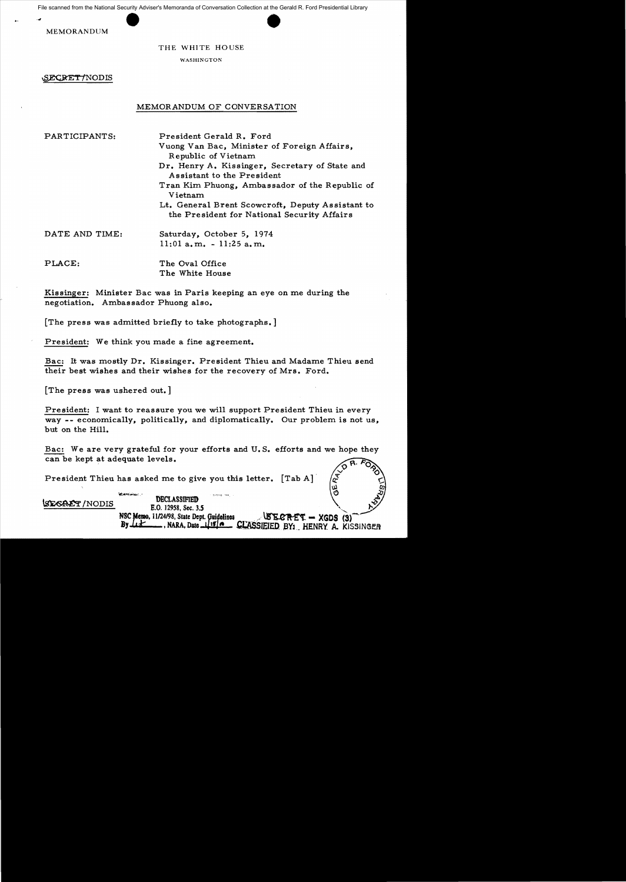# THE WHITE HOUSE

WASHINGTON

SECRET/NODIS

## MEMORANDUM OF CONVERSATION

PARTICIPANTS: President Gerald R. Ford

Vuong Van Bac, Minister of Foreign Affairs, Republic of Vietnam Dr. Henry A. Kissinger, Secretary of State and Assistant to the President Tran Kim Phuong, Ambassador of the Republic of Vietnam Lt. General Brent Scowcroft, Deputy Assistant to

the President for National Security Affairs

DATE AND TIME: Saturday, October 5, 1974 11:01 a.m. - 11:25 a.m.

PLACE: The Oval Office The White House

Kissinger: Minister Bac was in Paris keeping an eye on me during the negotiation. Ambassador Phuong also.

[The press was admitted briefly to take photographs. ]

President: We think you made a fine agreement.

Bac: It was mostly Dr. Kissinger. President Thieu and Madame Thieu send their best wishes and their wishes for the recovery of Mrs. Ford.

[The press was ushered out.]

President: I want to reassure you we will support President Thieu in every way -- economically, politically, and diplomatically. Our problem is not us, but on the Hill.

Bac: We are very grateful for your efforts and U. S. efforts and we hope they can be kept at adequate levels.

President Thieu has asked me to give you this letter.  $[Tab A]$ 

'~..-" 'DBCLASSIFIED '''''' ". ~/NODIS E.O. 12958, Sec. 3.5 ',, E.O. 12958, Sec. 3.5<br>NSC Memo, 11/24/98, State Dept. Guidelines ... **AGNET - XGDS** (3)<sup>-</sup><br>By Ltt........, NARA, Date 11910. **CLASSIEIED** BY: HENRY A. KIS **GLASSIEIED BY: HENRY A. KISSINGER**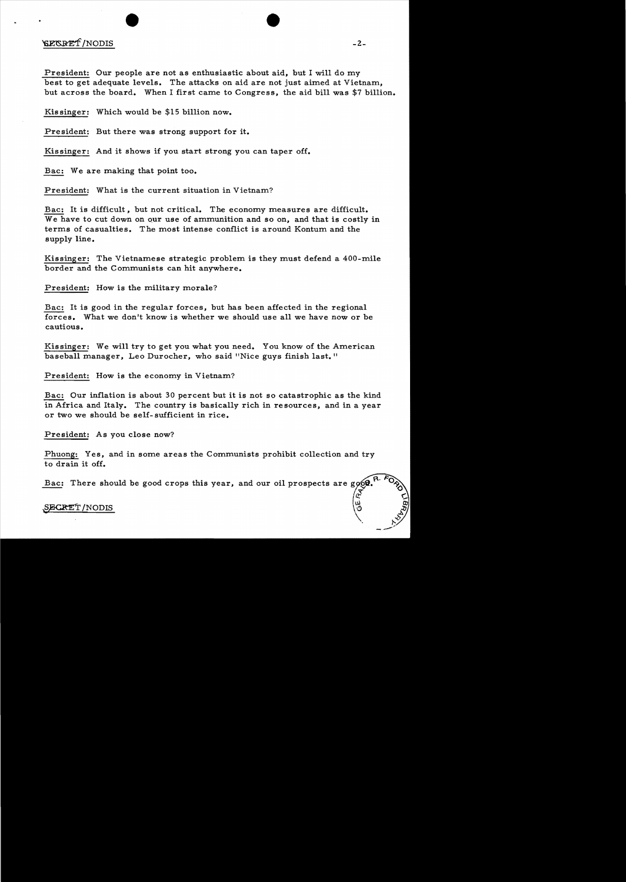# EXERT / NODIS -2-

President: Our people are not as enthusiastic about aid, but I will do my best to get adequate levels. The attacks on aid are not just aimed at Vietnam, but across the board. When I first came to Congress, the aid bill was \$7 billion.

Kissinger: Which would be \$15 billion now.

President: But there was strong support for it.

Kissinger: And it shows if you start strong you can taper off.

Bac: We are making that point too.

President: What is the current situation in Vietnam?

Bac: It is difficult, but not critical. The economy measures are difficult. We have to cut down on our use of ammunition and so on, and that is costly in terms of casualties. The most intense conflict is around Kontum and the supply line.

Kissinger: The Vietnamese strategic problem is they must defend a 400-mile border and the Communists can hit anywhere.

President: How is the military morale?

Bac: It is good in the regular forces, but has been affected in the regional forces. What we don't know is whether we should use all we have now or be cautious.

Kissinger: We will try to get you what you need. You know of the American baseball manager, Leo Durocher, who said "Nice guys finish last."

President: How is the economy in Vietnam?

Bac: Our inflation is about 30 percent but it is not so catastrophic as the kind in Africa and Italy. The country is basically rich in resources, and in a year or two we should be self-sufficient in rice.

President: As you close now?

Phuong: Yes, and in some areas the Communists prohibit collection and try to drain it off.

Bac: There should be good crops this year,

# $\frac{\text{SECRET}}{\text{NODIS}}$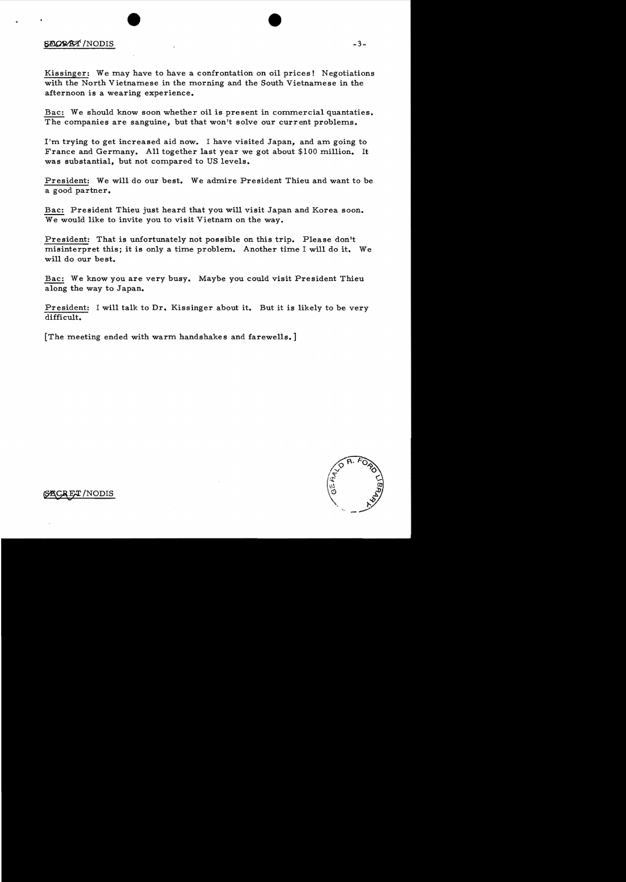# $\overline{SACR}$  $\overline{SAT}$  /NODIS  $-3-$

Kissinger: We may have to have a confrontation on oil prices! Negotiations with the North Vietnamese in the morning and the South Vietnamese in the afternoon is a wearing experience.

Bac: We should know soon whether oil is present in commercial quantaties. The companies are sanguine, but that won't solve our current problems.

I'm trying to get increased aid now. I have visited Japan, and am going to France and Germany. All together last year we got about \$100 million. It was substantial, but not compared to US levels.

President: We will do our best. We admire President Thieu and want to be a good partner.

Bac: President Thieu just heard that you will visit Japan and Korea soon. We would like to invite you to visit Vietnam on the way.

President: That is unfortunately not possible on this trip. Please don't misinterpret this; it is only a time problem. Another time I will do it. We will do our best.

Bac: We know you are very busy. Maybe you could visit President Thieu along the way to Japan.

President: I will talk to Dr. Kissinger about it. But it is likely to be very difficult.

[The meeting ended with warm handshakes and farewells. ]



 ${\tt T/NODIS}$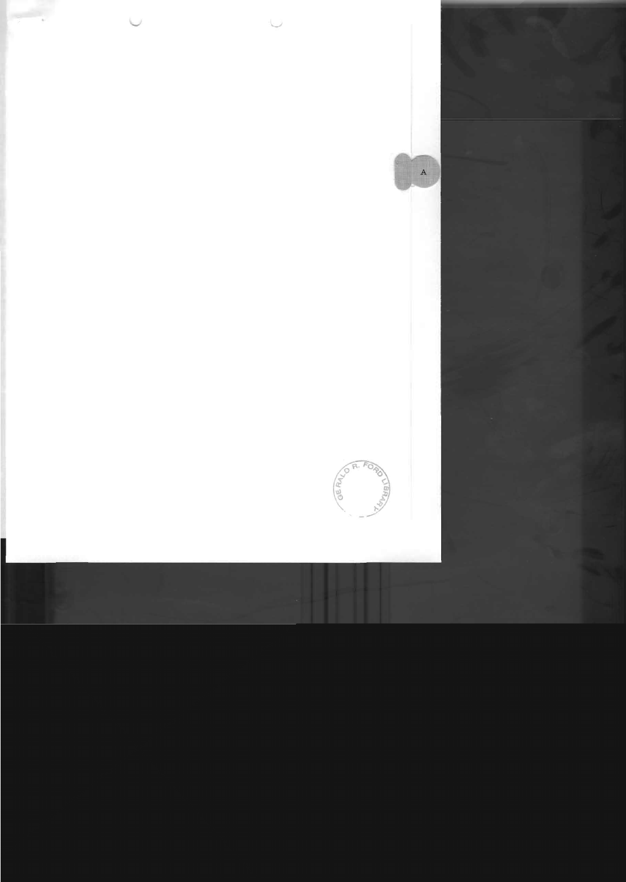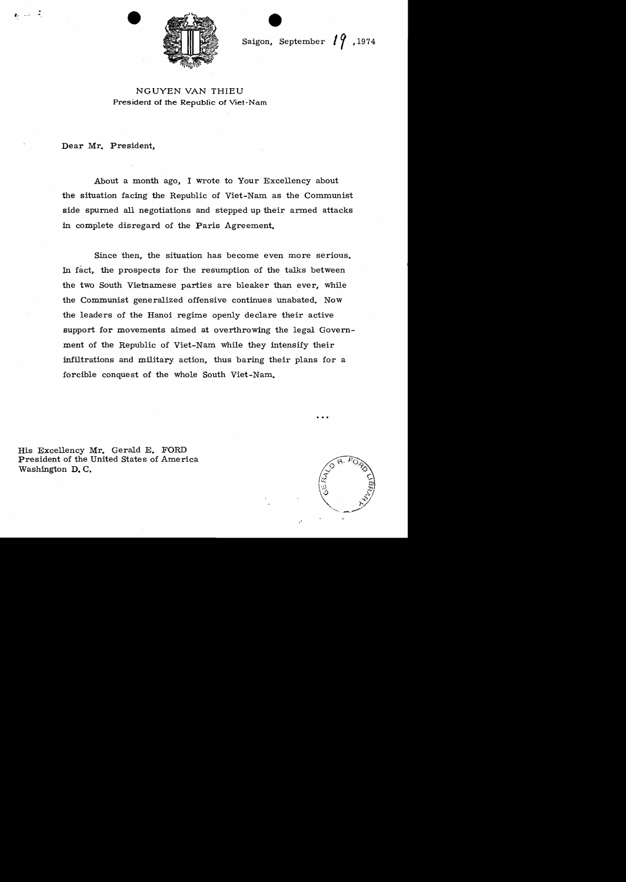

Saigon, September  $19$ , 1974

# NGUYEN VAN THIEU President of the Republic of Viet-Nam

Dear Mr. President,

e.,

رقمان ساب

About a month ago, I wrote to Your Excellency about the situation facing the Republic of Viet-Nam as the Communist side spurned all negotiations and stepped up their armed attacks in complete disregard of the Paris Agreement.

Since then, the situation has become even more serious. In fact, the prospects for the resumption of the talks between the two South Vietnamese parties are bleaker than ever, while the Communist generalized offensive continues unabated. Now the leaders of the Hanoi regime openly declare their active support for movements aimed at overthrowing the legal Government of the Republic of Viet-Nam while they intensify their infiltrations and military action, thus baring their plans for a forcible conquest of the whole South Viet-Nam.

His Excellency Mr. Gerald E. FORD President of the United States of America Washington **D. C.**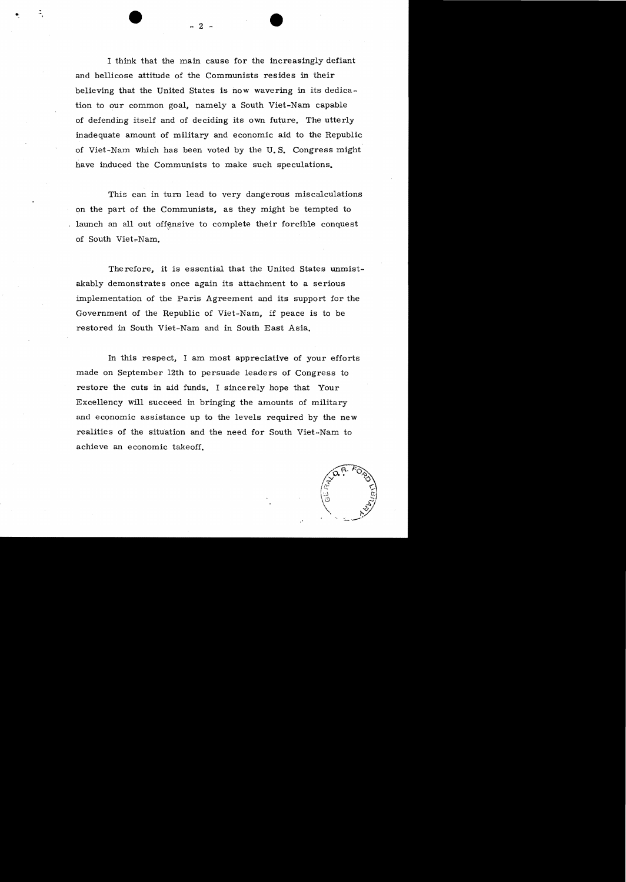I think that the main cause for the increasingly defiant and bellicose attitude of the Communists resides in their believing that the United States is now wavering in its dedication to our common goal, namely a South Viet-Nam capable of defending itself and of deciding its own future. The utterly inadequate amount of military and economic aid to the Republic of Viet-Nam which has been voted by the U. S. Congress might have induced the Communists to make such speculations.

This can in turn lead to very dangerous miscalculations on the part of the Communists, as they might be tempted to . launch an all out offensive to complete their forcible conquest of South Viet-Nam.

Therefore, it is essential that the United States unmistakably demonstrates once again its attachment to a serious implementation of the Paris Agreement and its support for the Government of the Republic of Viet-Nam, if peace is to be restored in South Viet-Nam and in South East Asia.

In this respect, I am most appreciative of your efforts made on September 12th to persuade leaders of Congress to restore the cuts in aid funds. I sincerely hope that Your Excellency will succeed in bringing the amounts of military and economic assistance up to the levels required by the new realities of the situation and the need for South Viet-Nam to achieve an economic takeoff.



..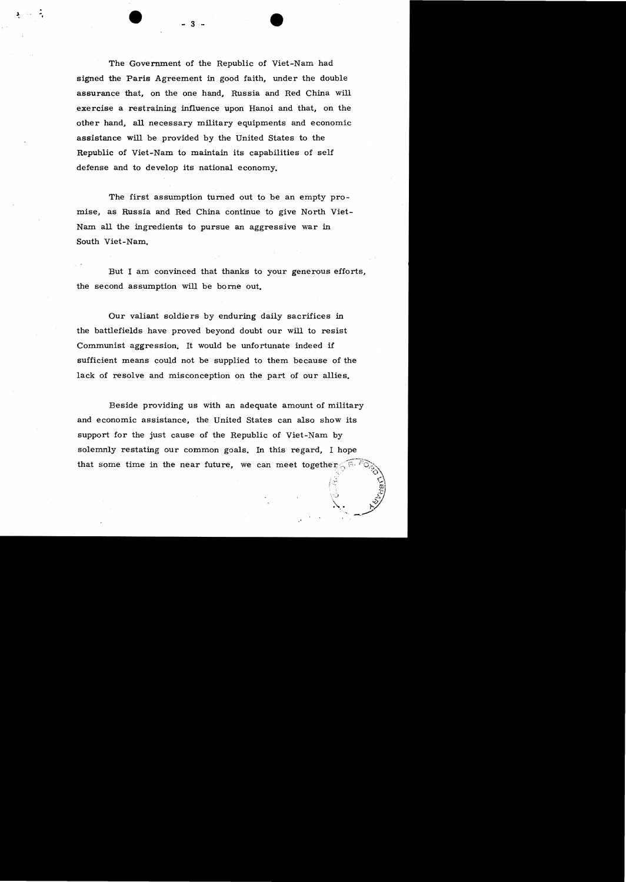The Government of the Republic of Viet-Nam had signed the Paris Agreement in good faith, under the double assurance that, on the one hand, Russia and Red China will exercise a restraining influence upon Hanoi and that, on the other hand, all necessary military equipments and economic assistance will be provided by the United States to the Republic of Viet-Nam to maintain its capabilities of self defense and to develop its national economy.

The first assumption turned out to be an empty promise, as Russia and Red China continue to give North Viet-Nam all the ingredients to pursue an aggressive war in South Viet-Nam.

But I am convinced that thanks to your generous efforts, the se cond assumption will be bome out.

Our valiant soldiers by enduring daily sacrifices in the battlefields have proved beyond doubt our will to resist Communist aggression. It would be unfortunate indeed if sufficient means could not be supplied to them because of the lack of resolve and misconception on the part of our allies.

Beside providing us with an adequate amount of military and economic assistance, the United States can also show its support for the just cause of the Republic of Viet-Nam by solemnly restating our common goals. In this regard, I hope that some time in the near future, we can meet together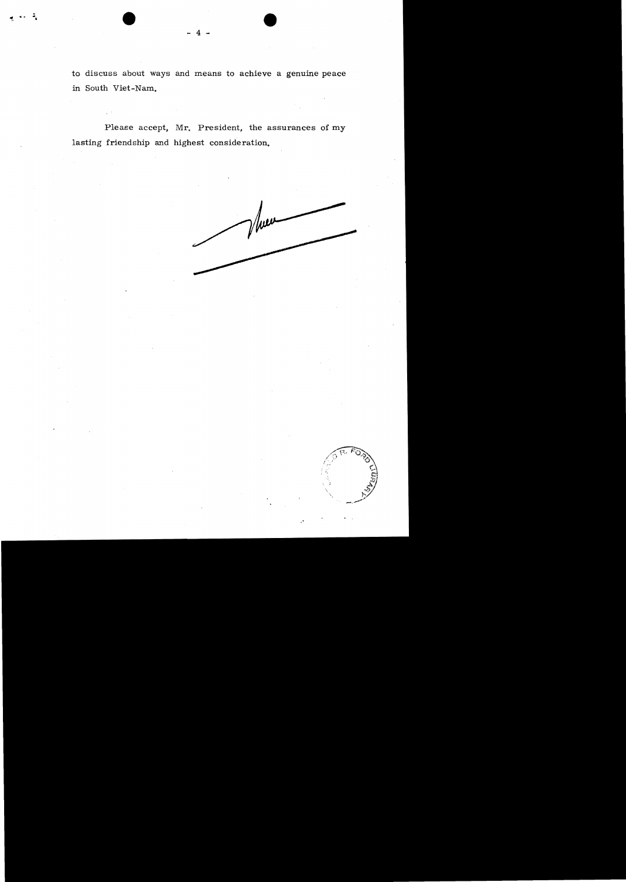to discuss about ways and means to achieve a genuine peace in South Viet-Nam.

Please accept, Mr. President, the assurances of my lasting friendship and highest consideration.



.'

 $-4-$ 

~, .... **-,**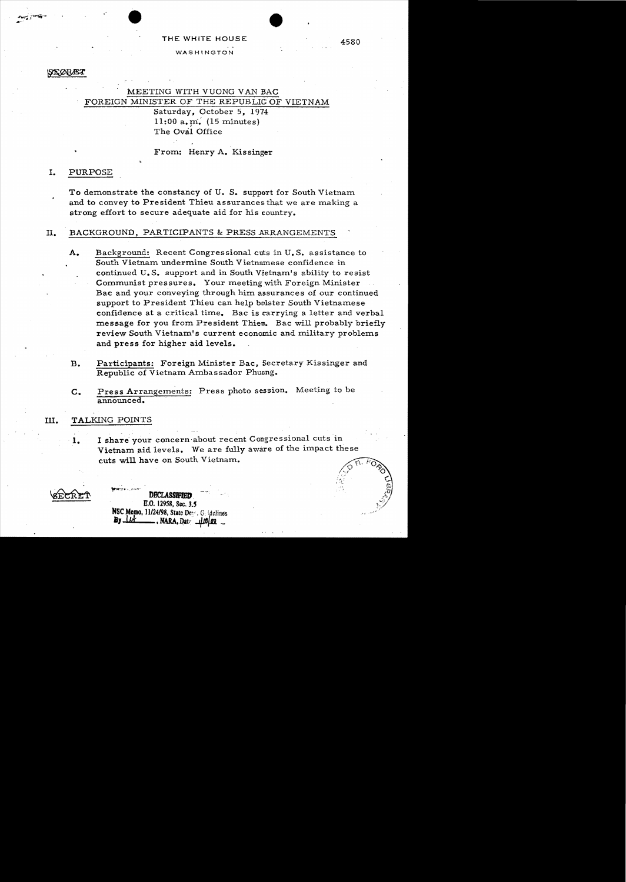# THE WHITE HOUSE 4580 WASHINGTON

#### STORÆT

# MEETING WITH VUONG VAN BAC FOREIGN MINISTER OF THE REPUBLIC OF VIETNAM Saturday, October 5, 1974 11:00 a.  $\text{m}$ . (15 minutes) The Oval Office

From: Henry A. Kissinger

## I. PURPOSE

To demonstrate the constancy of U. S. support for South Vietnam and to convey to President Thieu assurances that we are making a strong effort to secure adequate aid for his country.

## II. BACKGROUND, PARTICIPANTS & PRESS ARRANGEMENTS

- A. Background: Recent Congressional cuts in U. S. assistance to South Vietnam undermine South Vietnamese confidence in continued U.S. support and in South Vietnam's ability to resist Communist pressures. 'Your meeting with Foreign Minister Bac and your conveying through him assurances of our continued support to President Thieu can help bolster South Vietnamese confidence at a critical time. Bac is carrying a letter and verbal message for you from President Thieu. Bac will probably briefly review South Vietnam's current economic and military problems and press for higher aid levels.
- B. Participants: Foreign Minister Bac, Secretary Kissinger and Republic of Vietnam Ambassador Phuong.
- C. Press Arrangements: Press photo session. Meeting to be announced.

### III. TALKING POINTS

1. I share your concern about recent Congressional cuts in Vietnam aid levels. We are fully aware of the impact these cuts will have on South Vietnam.

**DBCLASSIFIED** E.O. 12958, Sec. 3.5 NSC Memo. 11/24/98, State De. G. idelines  $By$  $11$ 

s)<br>C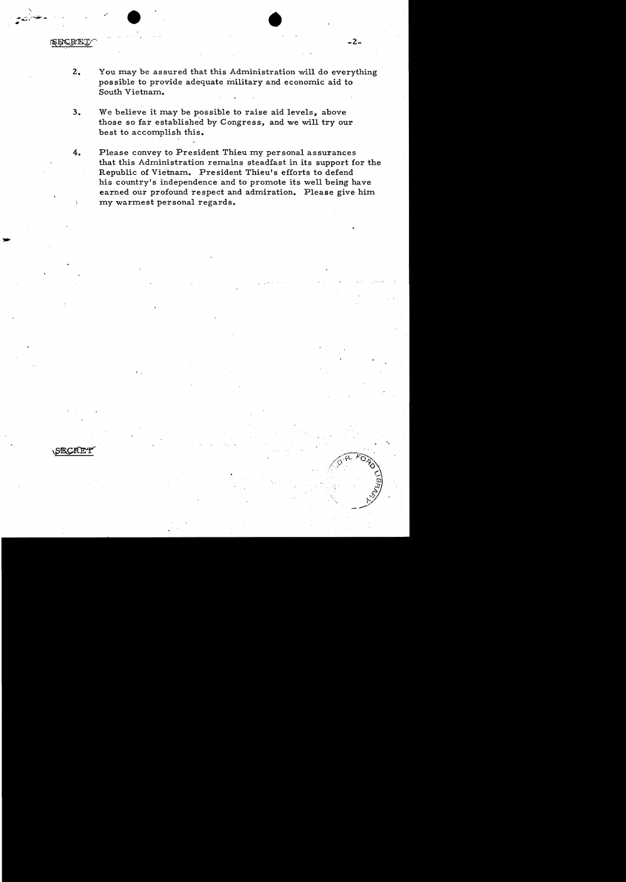SECRET

\

2. You may be assured that this Administration will do everything possible to provide adequate military and economic aid to South Vietnam.

 $\bullet$ 

- 3. We believe it may be possible to raise aid levels, above those so far establishe'd by Congress, and we will try our best to accomplish this.
- 4. Please convey to President Thieu my personal assurances that this Administration remains steadfast in its support for the Republic of Vietnam. President Thieu's efforts to defend his country's independence and to promote its well being have earned our profound respect and admiration. Please give him my warmest personal regards.



'.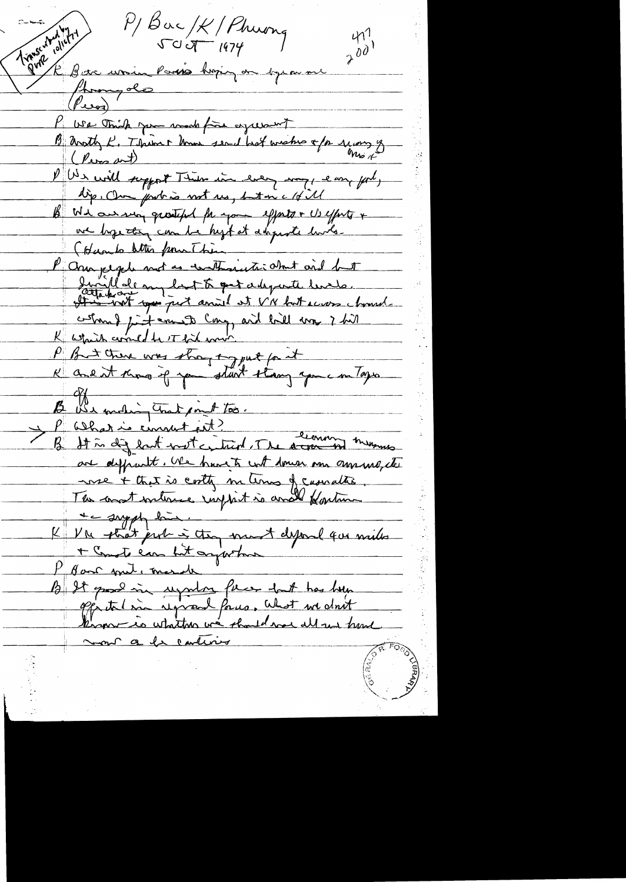Transcotted 12/1  $P/B$ ac/K/Phuong  $411$  $\overrightarrow{\partial}$ I sur unin Paris hopin en opera me homy do  $(\mathbb{P}_{\text{avg}})$ We think you work fire agreement B anoth K. Think home send hat weaken a for mong of (Pers art) Un will support Their in every may, easy for, dip. Our probais not us, but in a 18 il B We arrang growth for your efforts + Us efforts + we hope this can be high at disposite lunts. (Hambo letter from This P ana jegele mot as contrainet dont and het certains just ernests comp and hill was i hill K which comed to it for which P But there was strong tog put for it K and it know if you start thang you in Toys B We moding that point too. P What is consult est? It is dig but not centred. The area in mensus are definent . We have to cont domen one amount, the nse + that is costly m tems of casualtie The constructions import is and fortun the supply line. K VM phat prob à though mont despared que mille + Conste can but argustome Har met, march B It good in uprend facer dut has been mont a la carterie